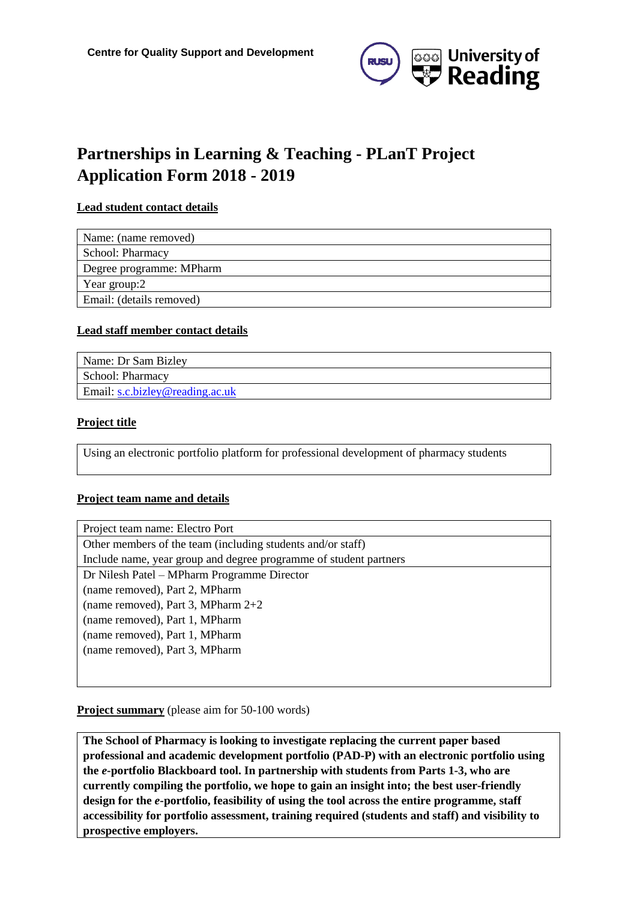

# **Partnerships in Learning & Teaching - PLanT Project Application Form 2018 - 2019**

#### **Lead student contact details**

| Name: (name removed)     |
|--------------------------|
| School: Pharmacy         |
| Degree programme: MPharm |
| Year group:2             |
| Email: (details removed) |
|                          |

#### **Lead staff member contact details**

| Name: Dr Sam Bizley               |
|-----------------------------------|
| School: Pharmacy                  |
| Email: $s.c.bizley@reading.ac.uk$ |

#### **Project title**

Using an electronic portfolio platform for professional development of pharmacy students

#### **Project team name and details**

| Project team name: Electro Port                                   |
|-------------------------------------------------------------------|
| Other members of the team (including students and/or staff)       |
| Include name, year group and degree programme of student partners |
| Dr Nilesh Patel – MPharm Programme Director                       |
| (name removed), Part 2, MPharm                                    |
| (name removed), Part 3, MPharm $2+2$                              |
| (name removed), Part 1, MPharm                                    |
| (name removed), Part 1, MPharm                                    |
| (name removed), Part 3, MPharm                                    |
|                                                                   |

#### **Project summary** (please aim for 50-100 words)

**The School of Pharmacy is looking to investigate replacing the current paper based professional and academic development portfolio (PAD-P) with an electronic portfolio using the** *e***-portfolio Blackboard tool. In partnership with students from Parts 1-3, who are currently compiling the portfolio, we hope to gain an insight into; the best user-friendly design for the** *e***-portfolio, feasibility of using the tool across the entire programme, staff accessibility for portfolio assessment, training required (students and staff) and visibility to prospective employers.**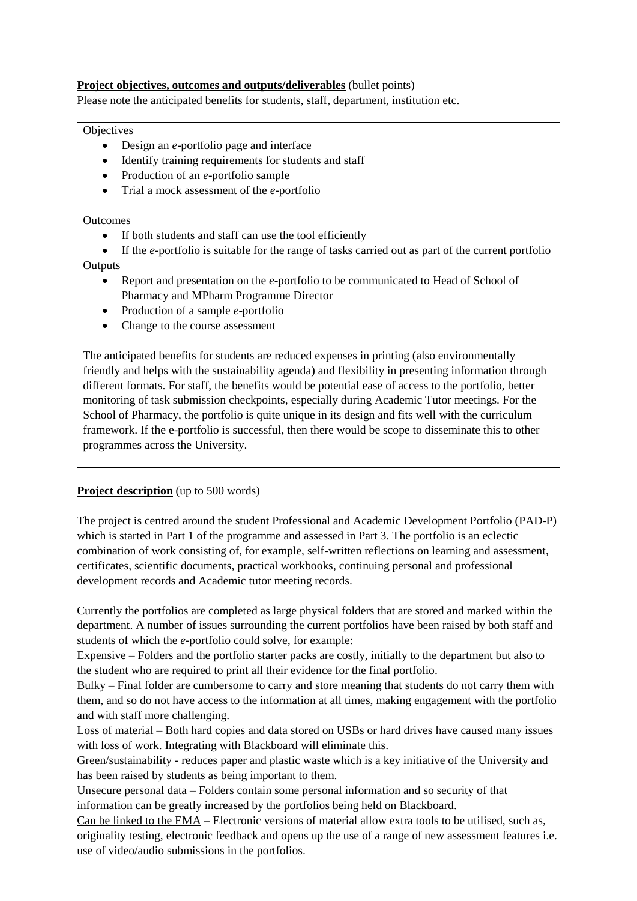#### **Project objectives, outcomes and outputs/deliverables** (bullet points)

Please note the anticipated benefits for students, staff, department, institution etc.

#### **Objectives**

- Design an *e*-portfolio page and interface
- Identify training requirements for students and staff
- Production of an *e*-portfolio sample
- Trial a mock assessment of the *e*-portfolio

#### **Outcomes**

- If both students and staff can use the tool efficiently
- If the *e*-portfolio is suitable for the range of tasks carried out as part of the current portfolio

### **Outputs**

- Report and presentation on the *e*-portfolio to be communicated to Head of School of Pharmacy and MPharm Programme Director
- Production of a sample *e*-portfolio
- Change to the course assessment

The anticipated benefits for students are reduced expenses in printing (also environmentally friendly and helps with the sustainability agenda) and flexibility in presenting information through different formats. For staff, the benefits would be potential ease of access to the portfolio, better monitoring of task submission checkpoints, especially during Academic Tutor meetings. For the School of Pharmacy, the portfolio is quite unique in its design and fits well with the curriculum framework. If the e-portfolio is successful, then there would be scope to disseminate this to other programmes across the University.

#### **Project description** (up to 500 words)

The project is centred around the student Professional and Academic Development Portfolio (PAD-P) which is started in Part 1 of the programme and assessed in Part 3. The portfolio is an eclectic combination of work consisting of, for example, self-written reflections on learning and assessment, certificates, scientific documents, practical workbooks, continuing personal and professional development records and Academic tutor meeting records.

Currently the portfolios are completed as large physical folders that are stored and marked within the department. A number of issues surrounding the current portfolios have been raised by both staff and students of which the *e*-portfolio could solve, for example:

Expensive – Folders and the portfolio starter packs are costly, initially to the department but also to the student who are required to print all their evidence for the final portfolio.

Bulky – Final folder are cumbersome to carry and store meaning that students do not carry them with them, and so do not have access to the information at all times, making engagement with the portfolio and with staff more challenging.

Loss of material – Both hard copies and data stored on USBs or hard drives have caused many issues with loss of work. Integrating with Blackboard will eliminate this.

Green/sustainability - reduces paper and plastic waste which is a key initiative of the University and has been raised by students as being important to them.

Unsecure personal data – Folders contain some personal information and so security of that information can be greatly increased by the portfolios being held on Blackboard.

Can be linked to the EMA – Electronic versions of material allow extra tools to be utilised, such as, originality testing, electronic feedback and opens up the use of a range of new assessment features i.e. use of video/audio submissions in the portfolios.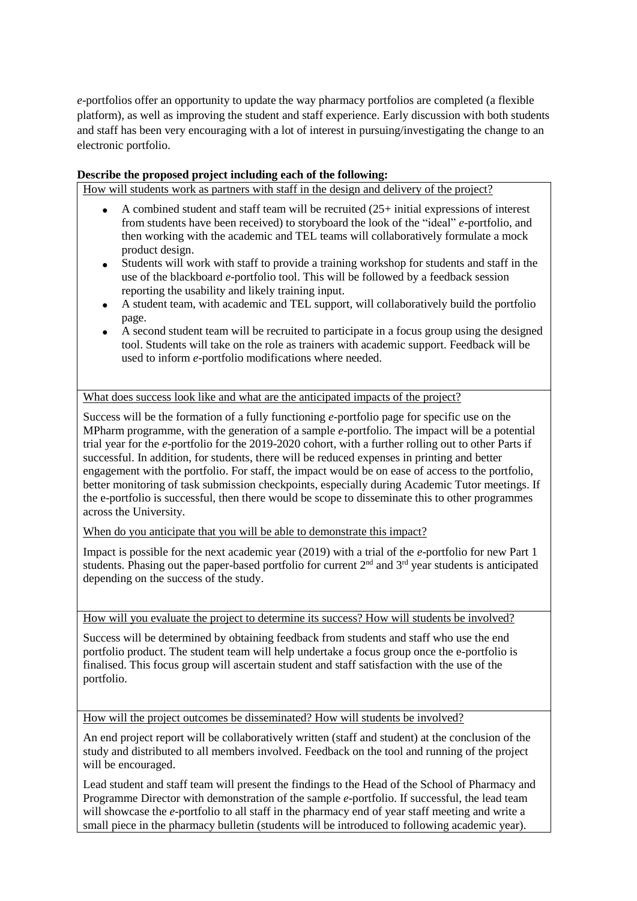*e*-portfolios offer an opportunity to update the way pharmacy portfolios are completed (a flexible platform), as well as improving the student and staff experience. Early discussion with both students and staff has been very encouraging with a lot of interest in pursuing/investigating the change to an electronic portfolio.

#### **Describe the proposed project including each of the following:**

How will students work as partners with staff in the design and delivery of the project?

- A combined student and staff team will be recruited (25+ initial expressions of interest from students have been received) to storyboard the look of the "ideal" *e*-portfolio, and then working with the academic and TEL teams will collaboratively formulate a mock product design.
- Students will work with staff to provide a training workshop for students and staff in the use of the blackboard *e*-portfolio tool. This will be followed by a feedback session reporting the usability and likely training input.
- A student team, with academic and TEL support, will collaboratively build the portfolio page.
- A second student team will be recruited to participate in a focus group using the designed tool. Students will take on the role as trainers with academic support. Feedback will be used to inform *e*-portfolio modifications where needed.

What does success look like and what are the anticipated impacts of the project?

Success will be the formation of a fully functioning *e*-portfolio page for specific use on the MPharm programme, with the generation of a sample *e*-portfolio. The impact will be a potential trial year for the *e*-portfolio for the 2019-2020 cohort, with a further rolling out to other Parts if successful. In addition, for students, there will be reduced expenses in printing and better engagement with the portfolio. For staff, the impact would be on ease of access to the portfolio, better monitoring of task submission checkpoints, especially during Academic Tutor meetings. If the e-portfolio is successful, then there would be scope to disseminate this to other programmes across the University.

When do you anticipate that you will be able to demonstrate this impact?

Impact is possible for the next academic year (2019) with a trial of the *e*-portfolio for new Part 1 students. Phasing out the paper-based portfolio for current  $2<sup>nd</sup>$  and  $3<sup>rd</sup>$  year students is anticipated depending on the success of the study.

How will you evaluate the project to determine its success? How will students be involved?

Success will be determined by obtaining feedback from students and staff who use the end portfolio product. The student team will help undertake a focus group once the e-portfolio is finalised. This focus group will ascertain student and staff satisfaction with the use of the portfolio.

How will the project outcomes be disseminated? How will students be involved?

An end project report will be collaboratively written (staff and student) at the conclusion of the study and distributed to all members involved. Feedback on the tool and running of the project will be encouraged.

Lead student and staff team will present the findings to the Head of the School of Pharmacy and Programme Director with demonstration of the sample *e*-portfolio. If successful, the lead team will showcase the *e*-portfolio to all staff in the pharmacy end of year staff meeting and write a small piece in the pharmacy bulletin (students will be introduced to following academic year).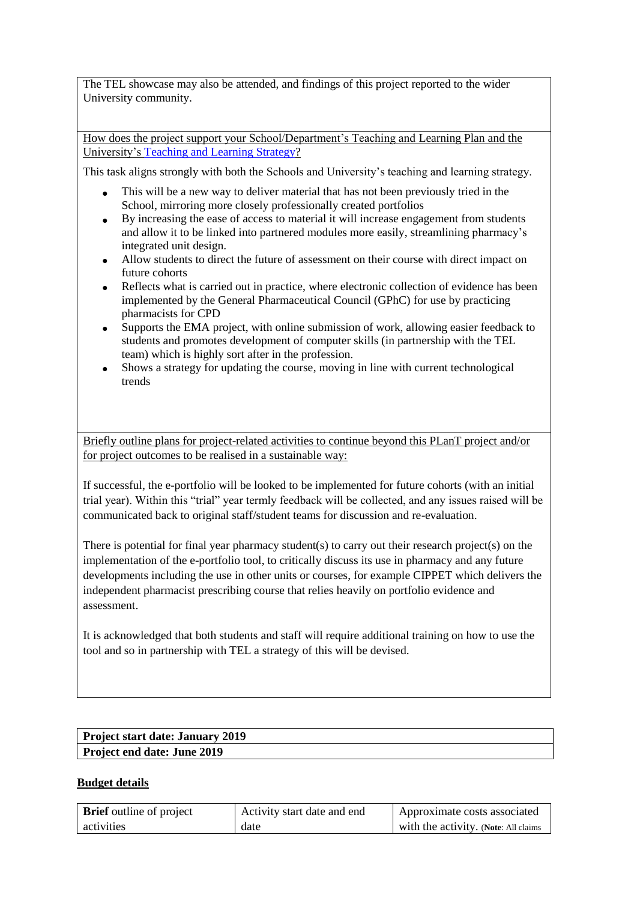The TEL showcase may also be attended, and findings of this project reported to the wider University community.

How does the project support your School/Department's Teaching and Learning Plan and the University's [Teaching and Learning](https://www.reading.ac.uk/about/teaching-and-learning/t-and-l-strategy.aspx) Strategy?

This task aligns strongly with both the Schools and University's teaching and learning strategy.

- This will be a new way to deliver material that has not been previously tried in the School, mirroring more closely professionally created portfolios
- By increasing the ease of access to material it will increase engagement from students and allow it to be linked into partnered modules more easily, streamlining pharmacy's integrated unit design.
- Allow students to direct the future of assessment on their course with direct impact on future cohorts
- Reflects what is carried out in practice, where electronic collection of evidence has been implemented by the General Pharmaceutical Council (GPhC) for use by practicing pharmacists for CPD
- Supports the EMA project, with online submission of work, allowing easier feedback to students and promotes development of computer skills (in partnership with the TEL team) which is highly sort after in the profession.
- Shows a strategy for updating the course, moving in line with current technological trends

Briefly outline plans for project-related activities to continue beyond this PLanT project and/or for project outcomes to be realised in a sustainable way:

If successful, the e-portfolio will be looked to be implemented for future cohorts (with an initial trial year). Within this "trial" year termly feedback will be collected, and any issues raised will be communicated back to original staff/student teams for discussion and re-evaluation.

There is potential for final year pharmacy student(s) to carry out their research project(s) on the implementation of the e-portfolio tool, to critically discuss its use in pharmacy and any future developments including the use in other units or courses, for example CIPPET which delivers the independent pharmacist prescribing course that relies heavily on portfolio evidence and assessment.

It is acknowledged that both students and staff will require additional training on how to use the tool and so in partnership with TEL a strategy of this will be devised.

| Project start date: January 2019   |  |
|------------------------------------|--|
| <b>Project end date: June 2019</b> |  |

#### **Budget details**

| <b>Brief</b> outline of project | Activity start date and end | Approximate costs associated         |
|---------------------------------|-----------------------------|--------------------------------------|
| activities                      | date                        | with the activity. (Note: All claims |